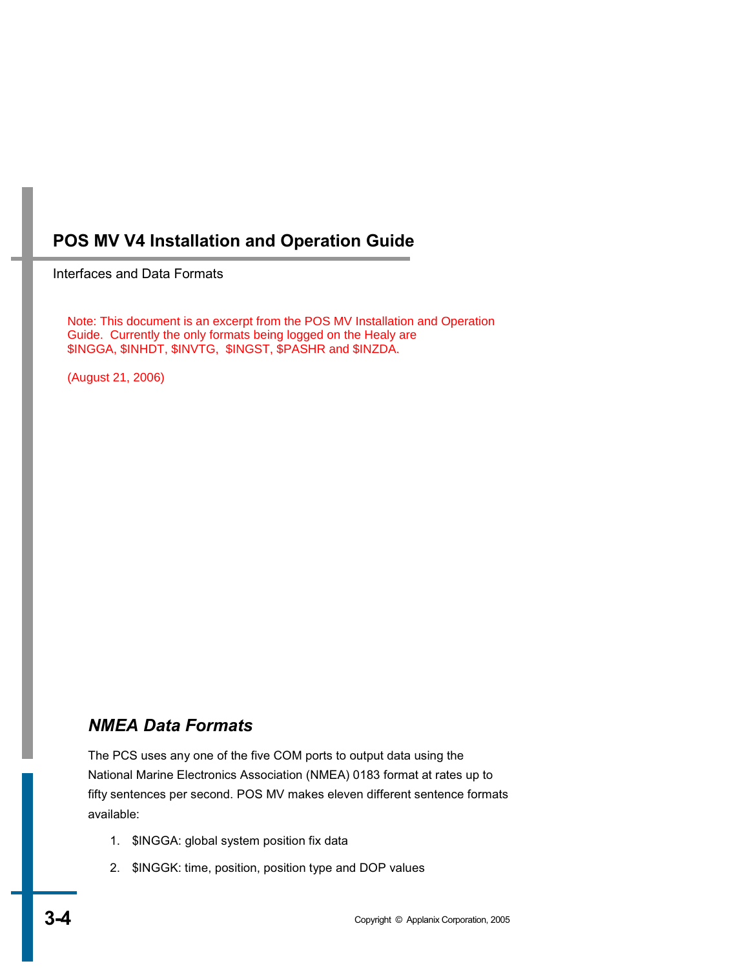Interfaces and Data Formats

Note: This document is an excerpt from the POS MV Installation and Operation Guide. Currently the only formats being logged on the Healy are \$INGGA, \$INHDT, \$INVTG, \$INGST, \$PASHR and \$INZDA.

(August 21, 2006)

## *NMEA Data Formats*

The PCS uses any one of the five COM ports to output data using the National Marine Electronics Association (NMEA) 0183 format at rates up to fifty sentences per second. POS MV makes eleven different sentence formats available:

- 1. \$INGGA: global system position fix data
- 2. \$INGGK: time, position, position type and DOP values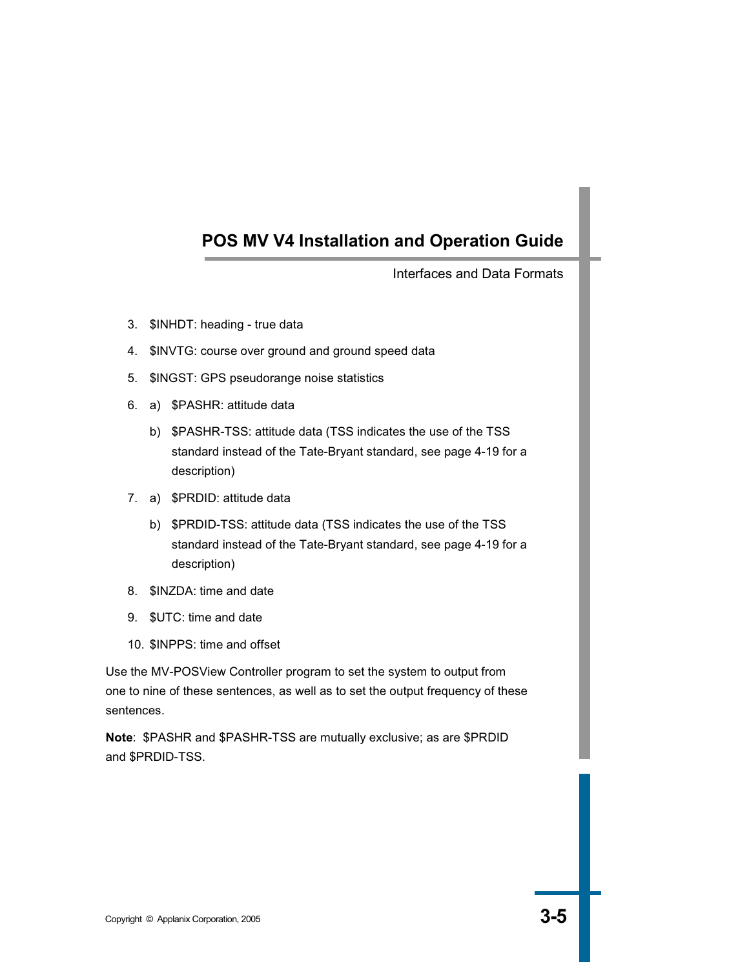Interfaces and Data Formats

- 3. \$INHDT: heading true data
- 4. \$INVTG: course over ground and ground speed data
- 5. \$INGST: GPS pseudorange noise statistics
- 6. a) \$PASHR: attitude data
	- b) \$PASHR-TSS: attitude data (TSS indicates the use of the TSS standard instead of the Tate-Bryant standard, see page 4-19 for a description)
- 7. a) \$PRDID: attitude data
	- b) \$PRDID-TSS: attitude data (TSS indicates the use of the TSS standard instead of the Tate-Bryant standard, see page 4-19 for a description)
- 8. \$INZDA: time and date
- 9. \$UTC: time and date
- 10. \$INPPS: time and offset

Use the MV-POSView Controller program to set the system to output from one to nine of these sentences, as well as to set the output frequency of these sentences.

**Note**: \$PASHR and \$PASHR-TSS are mutually exclusive; as are \$PRDID and \$PRDID-TSS.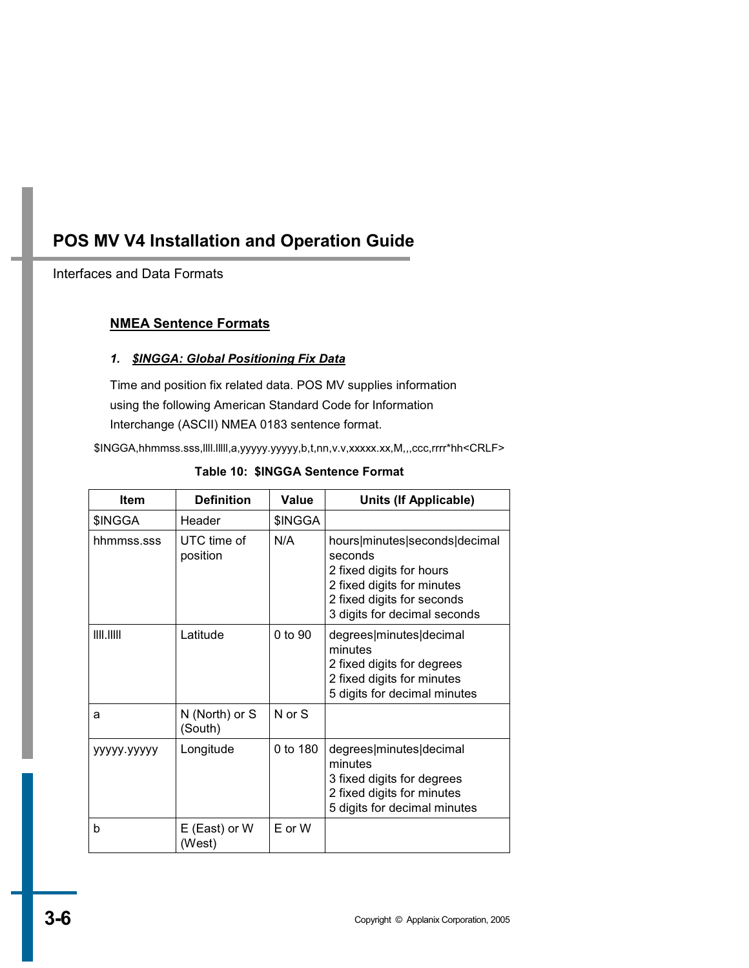## Interfaces and Data Formats

## **NMEA Sentence Formats**

### *1. \$INGGA: Global Positioning Fix Data*

Time and position fix related data. POS MV supplies information using the following American Standard Code for Information Interchange (ASCII) NMEA 0183 sentence format.

\$INGGA,hhmmss.sss,llll.lllll,a,yyyyy.yyyyy,b,t,nn,v.v,xxxxx.xx,M,,,ccc,rrrr\*hh<CRLF>

| Item        | <b>Definition</b>         | Value       | Units (If Applicable)                                                                                                                                            |
|-------------|---------------------------|-------------|------------------------------------------------------------------------------------------------------------------------------------------------------------------|
| \$INGGA     | Header                    | \$INGGA     |                                                                                                                                                                  |
| hhmmss.sss  | UTC time of<br>position   | N/A         | hours minutes seconds decimal<br>seconds<br>2 fixed digits for hours<br>2 fixed digits for minutes<br>2 fixed digits for seconds<br>3 digits for decimal seconds |
| III. IIIII  | Latitude                  | $0$ to $90$ | degrees minutes decimal<br>minutes<br>2 fixed digits for degrees<br>2 fixed digits for minutes<br>5 digits for decimal minutes                                   |
| a           | N (North) or S<br>(South) | N or S      |                                                                                                                                                                  |
| ууууу ууууу | Longitude                 | 0 to 180    | degrees minutes decimal<br>minutes<br>3 fixed digits for degrees<br>2 fixed digits for minutes<br>5 digits for decimal minutes                                   |
| b           | E (East) or W<br>(West)   | $E$ or $W$  |                                                                                                                                                                  |

### **Table 10: \$INGGA Sentence Format**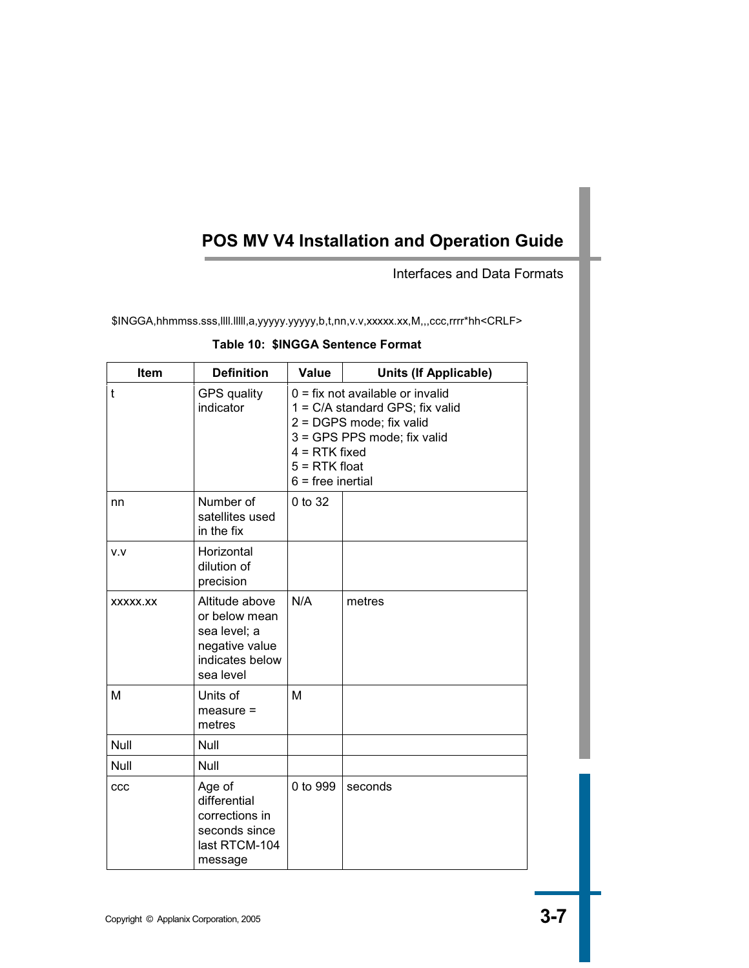Interfaces and Data Formats

\$INGGA,hhmmss.sss,llll.lllll,a,yyyyy.yyyyy,b,t,nn,v.v,xxxxx.xx,M,,,ccc,rrrr\*hh<CRLF>

| Table 10: \$INGGA Sentence Format |  |  |  |
|-----------------------------------|--|--|--|
|-----------------------------------|--|--|--|

| Item     | <b>Definition</b>                                                                                 | <b>Value</b>                                                                                                                                                                                  | <b>Units (If Applicable)</b> |
|----------|---------------------------------------------------------------------------------------------------|-----------------------------------------------------------------------------------------------------------------------------------------------------------------------------------------------|------------------------------|
| t        | <b>GPS</b> quality<br>indicator                                                                   | $0 = fix not available or invalid$<br>1 = C/A standard GPS; fix valid<br>2 = DGPS mode; fix valid<br>3 = GPS PPS mode; fix valid<br>$4 = RTK$ fixed<br>$5 = RTK$ float<br>$6$ = free inertial |                              |
| nn       | Number of<br>satellites used<br>in the fix                                                        | 0 to 32                                                                                                                                                                                       |                              |
| v.v      | Horizontal<br>dilution of<br>precision                                                            |                                                                                                                                                                                               |                              |
| XXXXX.XX | Altitude above<br>or below mean<br>sea level; a<br>negative value<br>indicates below<br>sea level | N/A                                                                                                                                                                                           | metres                       |
| M        | Units of<br>$measure =$<br>metres                                                                 | M                                                                                                                                                                                             |                              |
| Null     | Null                                                                                              |                                                                                                                                                                                               |                              |
| Null     | Null                                                                                              |                                                                                                                                                                                               |                              |
| CCC      | Age of<br>differential<br>corrections in<br>seconds since<br>last RTCM-104<br>message             | 0 to 999                                                                                                                                                                                      | seconds                      |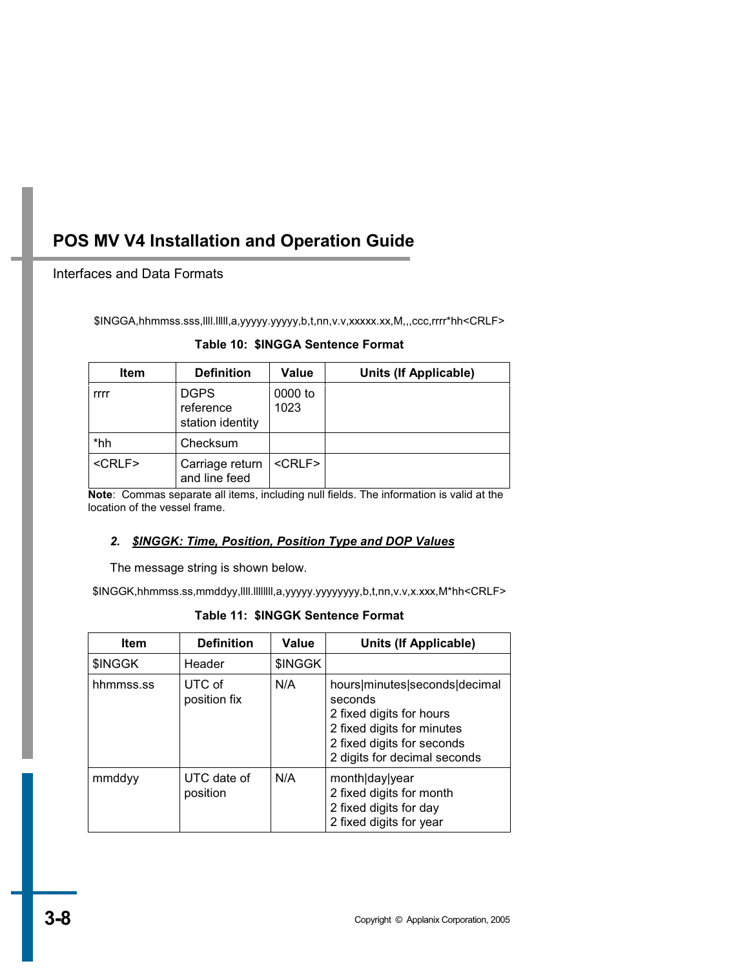## Interfaces and Data Formats

\$INGGA,hhmmss.sss,llll.lllll,a,yyyyy.yyyyy,b,t,nn,v.v,xxxxx.xx,M,,,ccc,rrrr\*hh<CRLF>

|  |  | Table 10: \$INGGA Sentence Format |  |
|--|--|-----------------------------------|--|
|--|--|-----------------------------------|--|

| <b>Item</b>  | <b>Definition</b>                            | Value           | Units (If Applicable) |
|--------------|----------------------------------------------|-----------------|-----------------------|
| rrrr         | <b>DGPS</b><br>reference<br>station identity | 0000 to<br>1023 |                       |
| *hh          | Checksum                                     |                 |                       |
| $<$ CRLF $>$ | Carriage return<br>and line feed             | $<$ CRLF $>$    |                       |

**Note**: Commas separate all items, including null fields. The information is valid at the location of the vessel frame.

### *2. \$INGGK: Time, Position, Position Type and DOP Values*

The message string is shown below.

\$INGGK,hhmmss.ss,mmddyy,llll.llllllll,a,yyyyy.yyyyyyyy,b,t,nn,v.v,x.xxx,M\*hh<CRLF>

**Table 11: \$INGGK Sentence Format** 

| <b>Item</b> | <b>Definition</b>       | <b>Value</b> | Units (If Applicable)                                                                                                                                            |
|-------------|-------------------------|--------------|------------------------------------------------------------------------------------------------------------------------------------------------------------------|
| \$INGGK     | Header                  | \$INGGK      |                                                                                                                                                                  |
| hhmmss.ss   | UTC of<br>position fix  | N/A          | hours minutes seconds decimal<br>seconds<br>2 fixed digits for hours<br>2 fixed digits for minutes<br>2 fixed digits for seconds<br>2 digits for decimal seconds |
| mmddyy      | UTC date of<br>position | N/A          | month day year<br>2 fixed digits for month<br>2 fixed digits for day<br>2 fixed digits for year                                                                  |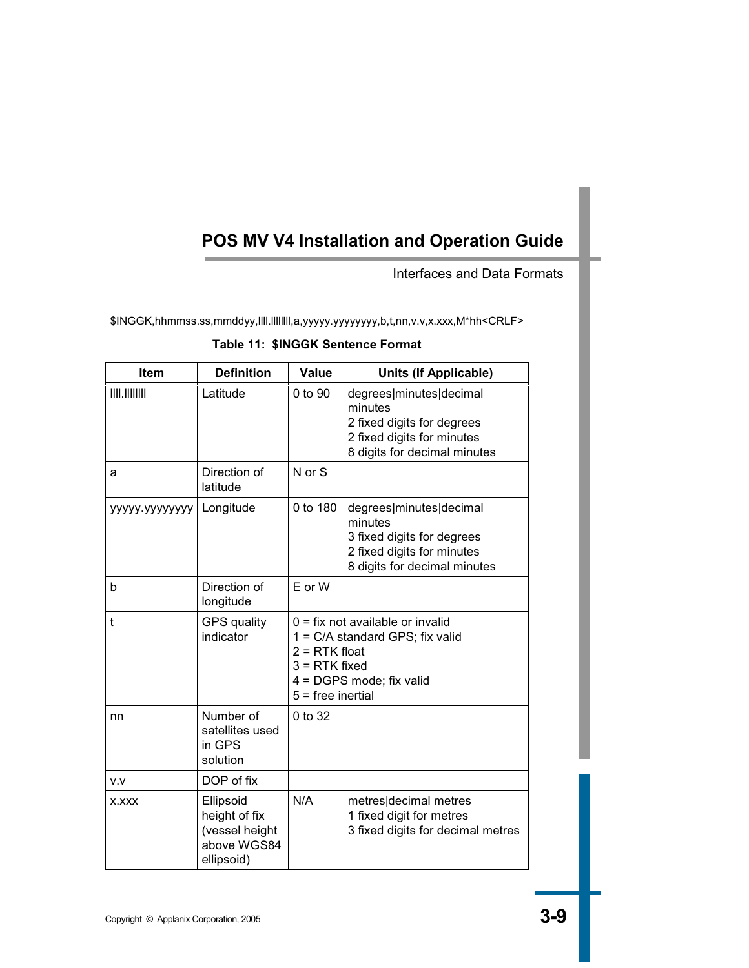Interfaces and Data Formats

\$INGGK,hhmmss.ss,mmddyy,llll.llllllll,a,yyyyy.yyyyyyyy,b,t,nn,v.v,x.xxx,M\*hh<CRLF>

|  | Table 11: \$INGGK Sentence Format |
|--|-----------------------------------|
|--|-----------------------------------|

| <b>Item</b>     | <b>Definition</b>                                                         | Value                                                                                                                                                          | <b>Units (If Applicable)</b>                                                                                                   |
|-----------------|---------------------------------------------------------------------------|----------------------------------------------------------------------------------------------------------------------------------------------------------------|--------------------------------------------------------------------------------------------------------------------------------|
| III. III III II | Latitude                                                                  | 0 to 90                                                                                                                                                        | degrees minutes decimal<br>minutes<br>2 fixed digits for degrees<br>2 fixed digits for minutes<br>8 digits for decimal minutes |
| a               | Direction of<br>latitude                                                  | N or S                                                                                                                                                         |                                                                                                                                |
| ууууу уууууууу  | Longitude                                                                 | 0 to 180                                                                                                                                                       | degrees minutes decimal<br>minutes<br>3 fixed digits for degrees<br>2 fixed digits for minutes<br>8 digits for decimal minutes |
| b               | Direction of<br>longitude                                                 | E or W                                                                                                                                                         |                                                                                                                                |
| $\mathbf{t}$    | <b>GPS</b> quality<br>indicator                                           | $0 = fix not available or invalid$<br>1 = C/A standard GPS; fix valid<br>$2 = RTK$ float<br>$3 = RTK$ fixed<br>4 = DGPS mode; fix valid<br>$5 =$ free inertial |                                                                                                                                |
| nn              | Number of<br>satellites used<br>in GPS<br>solution                        | 0 to 32                                                                                                                                                        |                                                                                                                                |
| V.V             | DOP of fix                                                                |                                                                                                                                                                |                                                                                                                                |
| X.XXX           | Ellipsoid<br>height of fix<br>(vessel height<br>above WGS84<br>ellipsoid) | N/A                                                                                                                                                            | metres decimal metres<br>1 fixed digit for metres<br>3 fixed digits for decimal metres                                         |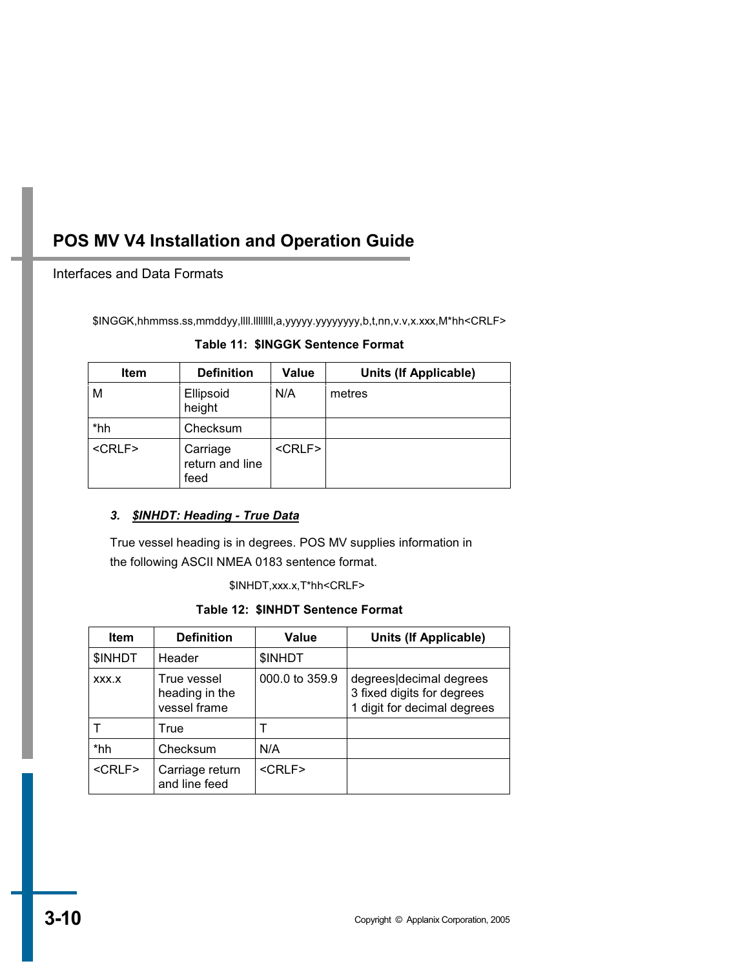### Interfaces and Data Formats

\$INGGK,hhmmss.ss,mmddyy,llll.llllllll,a,yyyyy.yyyyyyyy,b,t,nn,v.v,x.xxx,M\*hh<CRLF>

#### **Table 11: \$INGGK Sentence Format**

| <b>Item</b>   | <b>Definition</b>                   | Value         | Units (If Applicable) |
|---------------|-------------------------------------|---------------|-----------------------|
| М             | Ellipsoid<br>height                 | N/A           | metres                |
| *hh           | Checksum                            |               |                       |
| <crlf></crlf> | Carriage<br>return and line<br>feed | <crlf></crlf> |                       |

### *3. \$INHDT: Heading - True Data*

True vessel heading is in degrees. POS MV supplies information in the following ASCII NMEA 0183 sentence format.

\$INHDT,xxx.x,T\*hh<CRLF>

**Table 12: \$INHDT Sentence Format** 

| <b>Item</b>  | <b>Definition</b>                             | Value          | Units (If Applicable)                                                                |
|--------------|-----------------------------------------------|----------------|--------------------------------------------------------------------------------------|
| \$INHDT      | Header                                        | \$INHDT        |                                                                                      |
| XXX.X        | True vessel<br>heading in the<br>vessel frame | 000.0 to 359.9 | degrees decimal degrees<br>3 fixed digits for degrees<br>1 digit for decimal degrees |
|              | True                                          |                |                                                                                      |
| *hh          | Checksum                                      | N/A            |                                                                                      |
| $<$ CRLF $>$ | Carriage return<br>and line feed              | $<$ CRLF $>$   |                                                                                      |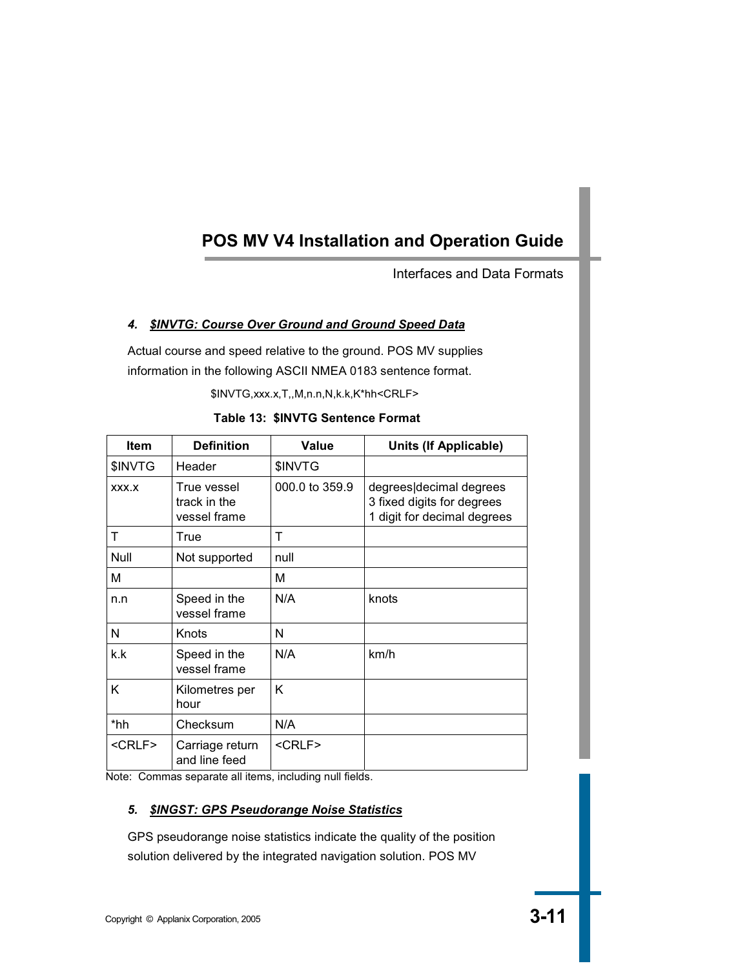Interfaces and Data Formats

## *4. \$INVTG: Course Over Ground and Ground Speed Data*

Actual course and speed relative to the ground. POS MV supplies information in the following ASCII NMEA 0183 sentence format.

\$INVTG,xxx.x,T,,M,n.n,N,k.k,K\*hh<CRLF>

| <b>Item</b>   | <b>Definition</b>                           | Value          | <b>Units (If Applicable)</b>                                                         |
|---------------|---------------------------------------------|----------------|--------------------------------------------------------------------------------------|
| \$INVTG       | Header                                      | \$INVTG        |                                                                                      |
| XXX.X         | True vessel<br>track in the<br>vessel frame | 000.0 to 359.9 | degrees decimal degrees<br>3 fixed digits for degrees<br>1 digit for decimal degrees |
| т             | True                                        | т              |                                                                                      |
| Null          | Not supported                               | null           |                                                                                      |
| М             |                                             | м              |                                                                                      |
| n.n           | Speed in the<br>vessel frame                | N/A            | knots                                                                                |
| N             | Knots                                       | N              |                                                                                      |
| k.k           | Speed in the<br>vessel frame                | N/A            | km/h                                                                                 |
| K             | Kilometres per<br>hour                      | K              |                                                                                      |
| *hh           | Checksum                                    | N/A            |                                                                                      |
| <crlf></crlf> | Carriage return<br>and line feed            | <crlf></crlf>  |                                                                                      |

**Table 13: \$INVTG Sentence Format** 

Note: Commas separate all items, including null fields.

### *5. \$INGST: GPS Pseudorange Noise Statistics*

GPS pseudorange noise statistics indicate the quality of the position solution delivered by the integrated navigation solution. POS MV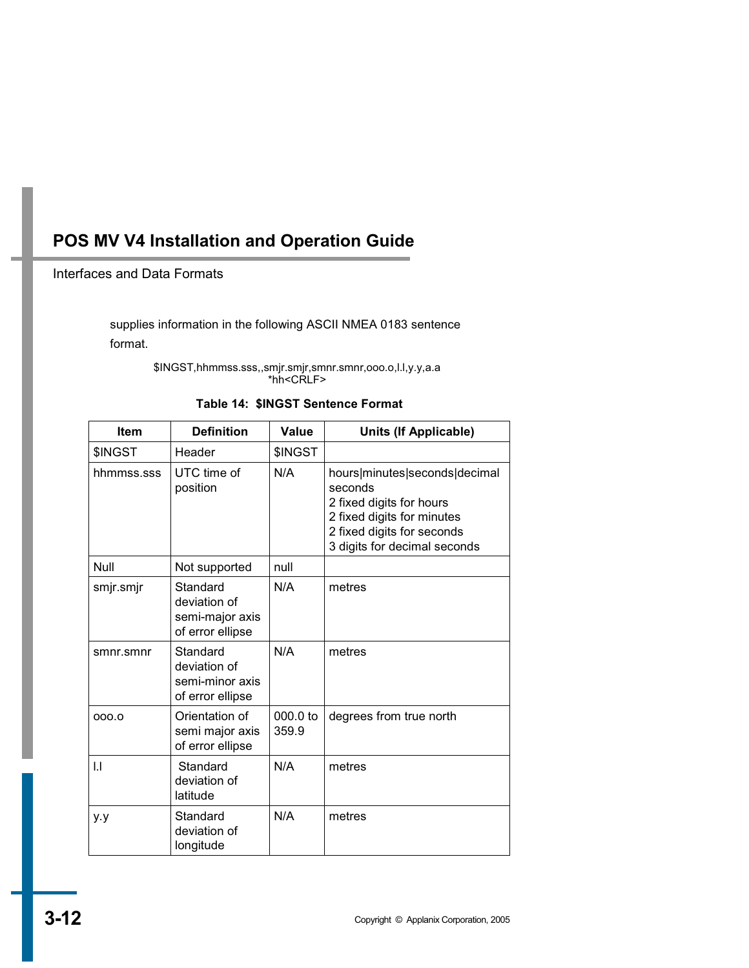### Interfaces and Data Formats

supplies information in the following ASCII NMEA 0183 sentence format.

> \$INGST,hhmmss.sss,,smjr.smjr,smnr.smnr,ooo.o,l.l,y.y,a.a \*hh<CRLF>

|  |  | Table 14: \$INGST Sentence Format |  |
|--|--|-----------------------------------|--|
|--|--|-----------------------------------|--|

| <b>Item</b> | <b>Definition</b>                                               | Value               | <b>Units (If Applicable)</b>                                                                                                                                     |
|-------------|-----------------------------------------------------------------|---------------------|------------------------------------------------------------------------------------------------------------------------------------------------------------------|
| \$INGST     | Header                                                          | \$INGST             |                                                                                                                                                                  |
| hhmmss.sss  | UTC time of<br>position                                         | N/A                 | hours minutes seconds decimal<br>seconds<br>2 fixed digits for hours<br>2 fixed digits for minutes<br>2 fixed digits for seconds<br>3 digits for decimal seconds |
| Null        | Not supported                                                   | null                |                                                                                                                                                                  |
| smjr.smjr   | Standard<br>deviation of<br>semi-major axis<br>of error ellipse | N/A                 | metres                                                                                                                                                           |
| smnr.smnr   | Standard<br>deviation of<br>semi-minor axis<br>of error ellipse | N/A                 | metres                                                                                                                                                           |
| 000.0       | Orientation of<br>semi major axis<br>of error ellipse           | $000.0$ to<br>359.9 | degrees from true north                                                                                                                                          |
| IJ          | Standard<br>deviation of<br>latitude                            | N/A                 | metres                                                                                                                                                           |
| y.y         | Standard<br>deviation of<br>longitude                           | N/A                 | metres                                                                                                                                                           |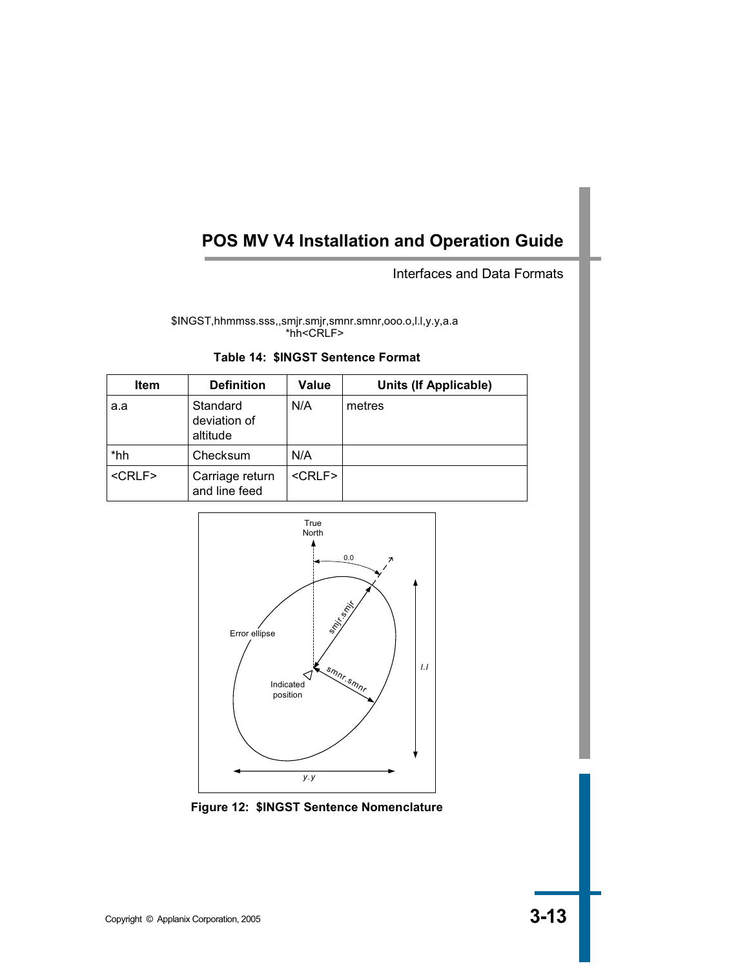Interfaces and Data Formats

\$INGST,hhmmss.sss,,smjr.smjr,smnr.smnr,ooo.o,l.l,y.y,a.a \*hh<CRLF>

|  |  | Table 14: \$INGST Sentence Format |  |
|--|--|-----------------------------------|--|
|--|--|-----------------------------------|--|

| <b>Item</b>  | <b>Definition</b>                    | Value        | Units (If Applicable) |
|--------------|--------------------------------------|--------------|-----------------------|
| a.a          | Standard<br>deviation of<br>altitude | N/A          | metres                |
| *hh          | Checksum                             | N/A          |                       |
| $<$ CRLF $>$ | Carriage return<br>and line feed     | $<$ CRLF $>$ |                       |



**Figure 12: \$INGST Sentence Nomenclature**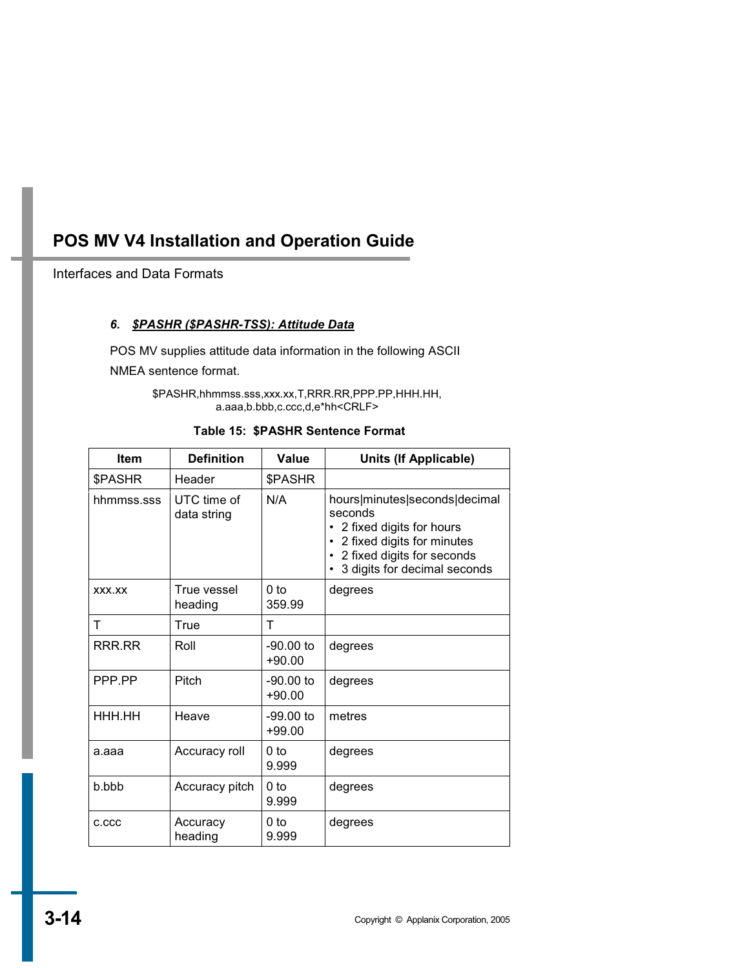Interfaces and Data Formats

### *6. \$PASHR (\$PASHR-TSS): Attitude Data*

POS MV supplies attitude data information in the following ASCII NMEA sentence format.

> \$PASHR,hhmmss.sss,xxx.xx,T,RRR.RR,PPP.PP,HHH.HH, a.aaa,b.bbb,c.ccc,d,e\*hh<CRLF>

| Table 15: \$PASHR Sentence Format |
|-----------------------------------|
|                                   |

| <b>Item</b> | <b>Definition</b>          | Value                     | <b>Units (If Applicable)</b>                                                                                                                                          |
|-------------|----------------------------|---------------------------|-----------------------------------------------------------------------------------------------------------------------------------------------------------------------|
| \$PASHR     | Header                     | \$PASHR                   |                                                                                                                                                                       |
| hhmmss.sss  | UTC time of<br>data string | N/A                       | hours minutes seconds decimal<br>seconds<br>2 fixed digits for hours<br>2 fixed digits for minutes<br>2 fixed digits for seconds<br>٠<br>3 digits for decimal seconds |
| XXX.XX      | True vessel<br>heading     | 0 <sub>to</sub><br>359.99 | degrees                                                                                                                                                               |
| т           | True                       | т                         |                                                                                                                                                                       |
| RRR.RR      | Roll                       | $-90.00$ to<br>$+90.00$   | degrees                                                                                                                                                               |
| PPP PP      | Pitch                      | $-90.00$ to<br>$+90.00$   | degrees                                                                                                                                                               |
| HHH.HH      | Heave                      | $-99.00$ to<br>$+99.00$   | metres                                                                                                                                                                |
| a.aaa       | Accuracy roll              | 0 <sub>to</sub><br>9.999  | degrees                                                                                                                                                               |
| b.bbb       | Accuracy pitch             | 0 <sub>to</sub><br>9.999  | degrees                                                                                                                                                               |
| C.CCC       | Accuracy<br>heading        | 0 to<br>9.999             | degrees                                                                                                                                                               |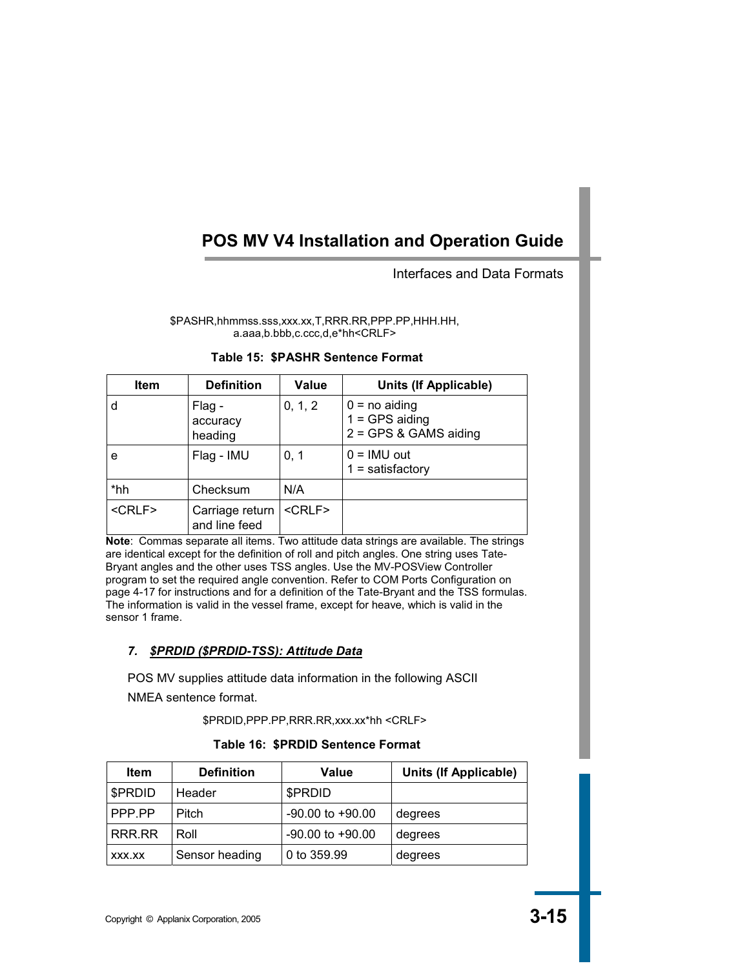### Interfaces and Data Formats

\$PASHR,hhmmss.sss,xxx.xx,T,RRR.RR,PPP.PP,HHH.HH, a.aaa,b.bbb,c.ccc,d,e\*hh<CRLF>

| <b>Item</b>  | <b>Definition</b>                | Value        | <b>Units (If Applicable)</b>                                   |
|--------------|----------------------------------|--------------|----------------------------------------------------------------|
| d            | Flag -<br>accuracy<br>heading    | 0, 1, 2      | $0 = no$ aiding<br>$1 = GPS$ aiding<br>$2 = GPS$ & GAMS aiding |
| е            | Flag - IMU                       | 0, 1         | $0 = IMU$ out<br>$1 =$ satisfactory                            |
| *hh          | Checksum                         | N/A          |                                                                |
| $<$ CRLF $>$ | Carriage return<br>and line feed | $<$ CRLF $>$ |                                                                |

#### **Table 15: \$PASHR Sentence Format**

**Note**: Commas separate all items. Two attitude data strings are available. The strings are identical except for the definition of roll and pitch angles. One string uses Tate-Bryant angles and the other uses TSS angles. Use the MV-POSView Controller program to set the required angle convention. Refer to COM Ports Configuration on page 4-17 for instructions and for a definition of the Tate-Bryant and the TSS formulas. The information is valid in the vessel frame, except for heave, which is valid in the sensor 1 frame.

### *7. \$PRDID (\$PRDID-TSS): Attitude Data*

POS MV supplies attitude data information in the following ASCII NMEA sentence format.

\$PRDID,PPP.PP,RRR.RR,xxx.xx\*hh <CRLF>

#### **Table 16: \$PRDID Sentence Format**

| Item    | <b>Definition</b> | Value                | <b>Units (If Applicable)</b> |
|---------|-------------------|----------------------|------------------------------|
| \$PRDID | Header            | \$PRDID              |                              |
| PPP PP  | Pitch             | $-90.00$ to $+90.00$ | degrees                      |
| RRR.RR  | Roll              | $-90.00$ to $+90.00$ | degrees                      |
| XXX.XX  | Sensor heading    | 0 to 359.99          | degrees                      |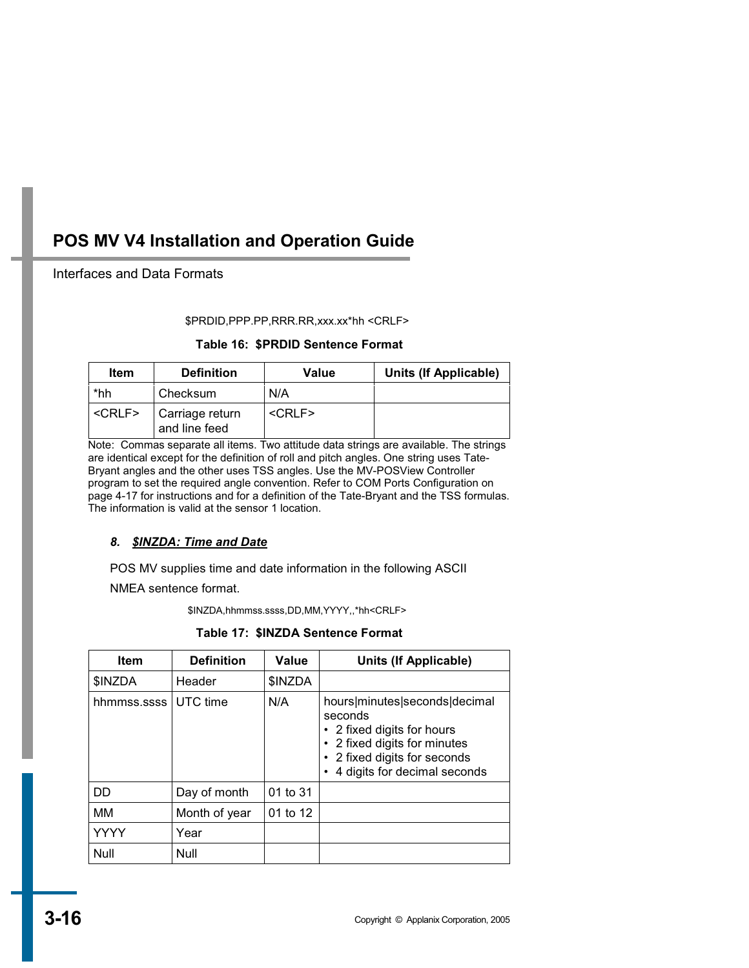### Interfaces and Data Formats

#### \$PRDID,PPP.PP,RRR.RR,xxx.xx\*hh <CRLF>

### **Table 16: \$PRDID Sentence Format**

| Item          | <b>Definition</b>                | Value        | <b>Units (If Applicable)</b> |
|---------------|----------------------------------|--------------|------------------------------|
| *hh           | Checksum                         | N/A          |                              |
| <crlf></crlf> | Carriage return<br>and line feed | $<$ CRLF $>$ |                              |

Note: Commas separate all items. Two attitude data strings are available. The strings are identical except for the definition of roll and pitch angles. One string uses Tate-Bryant angles and the other uses TSS angles. Use the MV-POSView Controller program to set the required angle convention. Refer to COM Ports Configuration on page 4-17 for instructions and for a definition of the Tate-Bryant and the TSS formulas. The information is valid at the sensor 1 location.

## *8. \$INZDA: Time and Date*

POS MV supplies time and date information in the following ASCII NMEA sentence format.

\$INZDA,hhmmss.ssss,DD,MM,YYYY,,\*hh<CRLF>

**Table 17: \$INZDA Sentence Format** 

| <b>Item</b>   | <b>Definition</b> | Value    | <b>Units (If Applicable)</b>                                                                                                                                       |
|---------------|-------------------|----------|--------------------------------------------------------------------------------------------------------------------------------------------------------------------|
| <b>SINZDA</b> | Header            | \$INZDA  |                                                                                                                                                                    |
| hhmmss.ssss   | UTC time          | N/A      | hours minutes seconds decimal<br>seconds<br>• 2 fixed digits for hours<br>2 fixed digits for minutes<br>2 fixed digits for seconds<br>4 digits for decimal seconds |
| DD            | Day of month      | 01 to 31 |                                                                                                                                                                    |
| MМ            | Month of year     | 01 to 12 |                                                                                                                                                                    |
| <b>YYYY</b>   | Year              |          |                                                                                                                                                                    |
| Null          | Null              |          |                                                                                                                                                                    |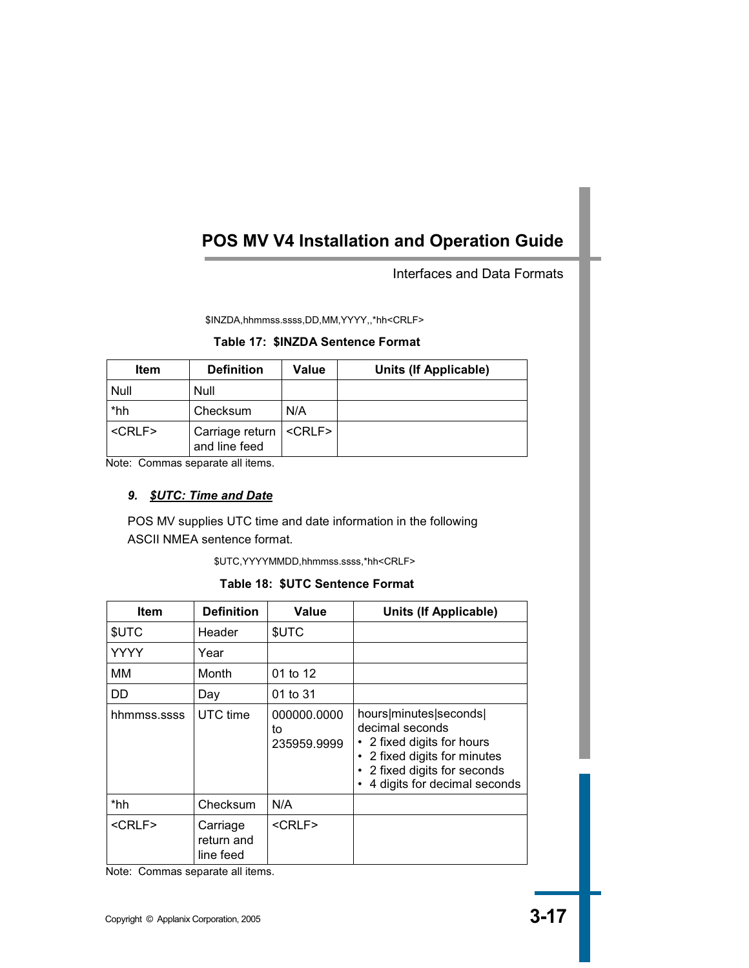Interfaces and Data Formats

\$INZDA,hhmmss.ssss,DD,MM,YYYY,,\*hh<CRLF>

### **Table 17: \$INZDA Sentence Format**

| <b>Item</b>   | <b>Definition</b>                                   | Value | Units (If Applicable) |
|---------------|-----------------------------------------------------|-------|-----------------------|
| Null          | Null                                                |       |                       |
| *hh           | Checksum                                            | N/A   |                       |
| <crlf></crlf> | Carriage return   <crlf>  <br/>and line feed</crlf> |       |                       |

Note: Commas separate all items.

### *9. \$UTC: Time and Date*

POS MV supplies UTC time and date information in the following ASCII NMEA sentence format.

\$UTC,YYYYMMDD,hhmmss.ssss,\*hh<CRLF>

**Table 18: \$UTC Sentence Format** 

| <b>Item</b>  | <b>Definition</b>                   | Value                            | Units (If Applicable)                                                                                                                                                  |
|--------------|-------------------------------------|----------------------------------|------------------------------------------------------------------------------------------------------------------------------------------------------------------------|
| \$UTC        | Header                              | \$UTC                            |                                                                                                                                                                        |
| YYYY         | Year                                |                                  |                                                                                                                                                                        |
| ΜМ           | Month                               | 01 to 12                         |                                                                                                                                                                        |
| DD           | Day                                 | 01 to 31                         |                                                                                                                                                                        |
| hhmmss.ssss  | UTC time                            | 000000.0000<br>to<br>235959.9999 | hours minutes seconds <br>decimal seconds<br>2 fixed digits for hours<br>2 fixed digits for minutes<br>٠<br>2 fixed digits for seconds<br>4 digits for decimal seconds |
| *hh          | Checksum                            | N/A                              |                                                                                                                                                                        |
| $<$ CRLF $>$ | Carriage<br>return and<br>line feed | $<$ CRLF $>$                     |                                                                                                                                                                        |

Note: Commas separate all items.